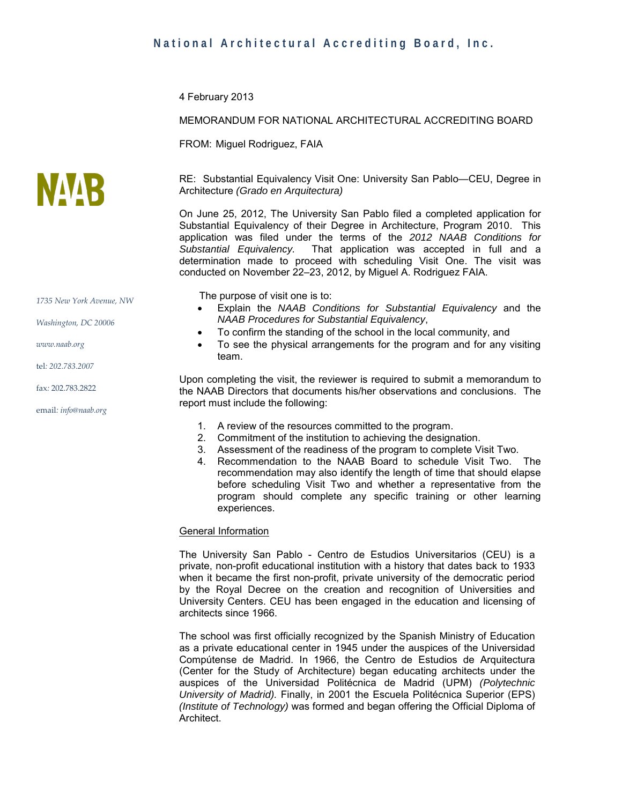4 February 2013

#### MEMORANDUM FOR NATIONAL ARCHITECTURAL ACCREDITING BOARD

FROM: Miguel Rodriguez, FAIA

RE: Substantial Equivalency Visit One: University San Pablo—CEU, Degree in Architecture *(Grado en Arquitectura)*

On June 25, 2012, The University San Pablo filed a completed application for Substantial Equivalency of their Degree in Architecture, Program 2010. This application was filed under the terms of the *2012 NAAB Conditions for Substantial Equivalency.* That application was accepted in full and a determination made to proceed with scheduling Visit One. The visit was conducted on November 22–23, 2012, by Miguel A. Rodriguez FAIA.

The purpose of visit one is to:

- Explain the *NAAB Conditions for Substantial Equivalency* and the *NAAB Procedures for Substantial Equivalency*,
- To confirm the standing of the school in the local community, and
- To see the physical arrangements for the program and for any visiting team.

Upon completing the visit, the reviewer is required to submit a memorandum to the NAAB Directors that documents his/her observations and conclusions. The report must include the following:

- 1. A review of the resources committed to the program.
- 2. Commitment of the institution to achieving the designation.
- 3. Assessment of the readiness of the program to complete Visit Two.
- 4. Recommendation to the NAAB Board to schedule Visit Two. The recommendation may also identify the length of time that should elapse before scheduling Visit Two and whether a representative from the program should complete any specific training or other learning experiences.

#### General Information

The University San Pablo - Centro de Estudios Universitarios (CEU) is a private, non-profit educational institution with a history that dates back to 1933 when it became the first non-profit, private university of the democratic period by the Royal Decree on the creation and recognition of Universities and University Centers. CEU has been engaged in the education and licensing of architects since 1966.

The school was first officially recognized by the Spanish Ministry of Education as a private educational center in 1945 under the auspices of the Universidad Compútense de Madrid. In 1966, the Centro de Estudios de Arquitectura (Center for the Study of Architecture) began educating architects under the auspices of the Universidad Politécnica de Madrid (UPM) *(Polytechnic University of Madrid).* Finally, in 2001 the Escuela Politécnica Superior (EPS) *(Institute of Technology)* was formed and began offering the Official Diploma of Architect.



*1735 New York Avenue, NW*

*Washington, DC 20006*

*[www.naab.org](http://www.naab.org/)*

tel*: 202.783.2007*

fax*:* 202.783.2822

email*: info@naab.org*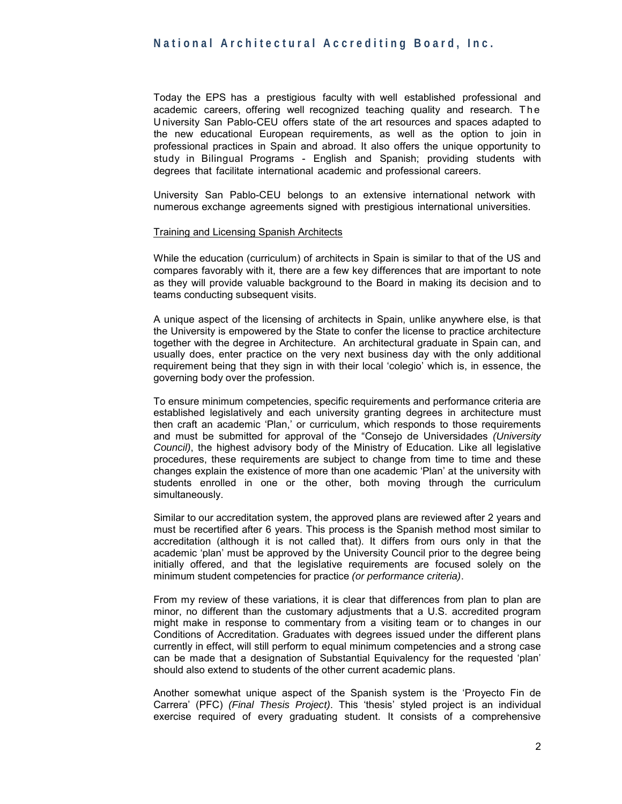Today the EPS has a prestigious faculty with well established professional and academic careers, offering well recognized teaching quality and research. The U niversity San Pablo-CEU offers state of the art resources and spaces adapted to the new educational European requirements, as well as the option to join in professional practices in Spain and abroad. It also offers the unique opportunity to study in Bilingual Programs - English and Spanish; providing students with degrees that facilitate international academic and professional careers.

University San Pablo-CEU belongs to an extensive international network with numerous exchange agreements signed with prestigious international universities.

#### Training and Licensing Spanish Architects

While the education (curriculum) of architects in Spain is similar to that of the US and compares favorably with it, there are a few key differences that are important to note as they will provide valuable background to the Board in making its decision and to teams conducting subsequent visits.

A unique aspect of the licensing of architects in Spain, unlike anywhere else, is that the University is empowered by the State to confer the license to practice architecture together with the degree in Architecture. An architectural graduate in Spain can, and usually does, enter practice on the very next business day with the only additional requirement being that they sign in with their local 'colegio' which is, in essence, the governing body over the profession.

To ensure minimum competencies, specific requirements and performance criteria are established legislatively and each university granting degrees in architecture must then craft an academic 'Plan,' or curriculum, which responds to those requirements and must be submitted for approval of the "Consejo de Universidades *(University Council)*, the highest advisory body of the Ministry of Education. Like all legislative procedures, these requirements are subject to change from time to time and these changes explain the existence of more than one academic 'Plan' at the university with students enrolled in one or the other, both moving through the curriculum simultaneously.

Similar to our accreditation system, the approved plans are reviewed after 2 years and must be recertified after 6 years. This process is the Spanish method most similar to accreditation (although it is not called that). It differs from ours only in that the academic 'plan' must be approved by the University Council prior to the degree being initially offered, and that the legislative requirements are focused solely on the minimum student competencies for practice *(or performance criteria)*.

From my review of these variations, it is clear that differences from plan to plan are minor, no different than the customary adjustments that a U.S. accredited program might make in response to commentary from a visiting team or to changes in our Conditions of Accreditation. Graduates with degrees issued under the different plans currently in effect, will still perform to equal minimum competencies and a strong case can be made that a designation of Substantial Equivalency for the requested 'plan' should also extend to students of the other current academic plans.

Another somewhat unique aspect of the Spanish system is the 'Proyecto Fin de Carrera' (PFC) *(Final Thesis Project)*. This 'thesis' styled project is an individual exercise required of every graduating student. It consists of a comprehensive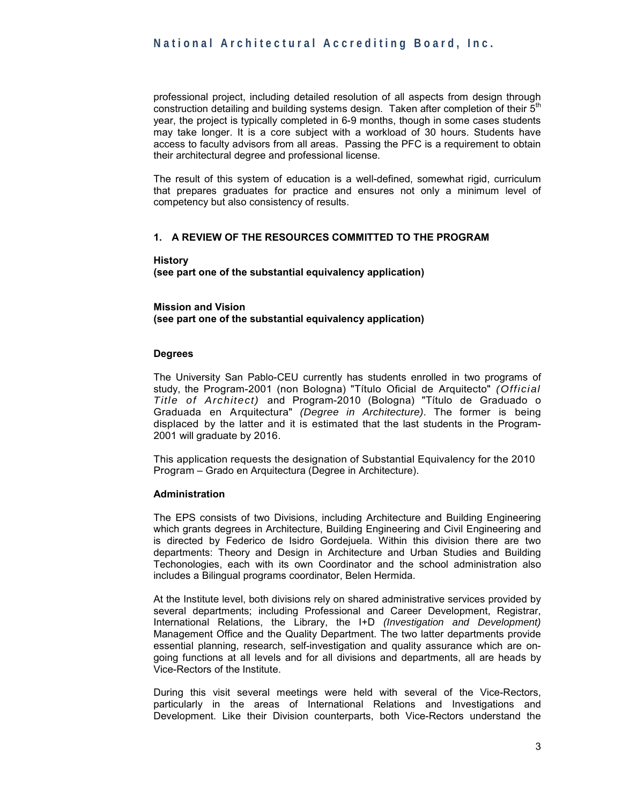professional project, including detailed resolution of all aspects from design through construction detailing and building systems design. Taken after completion of their  $5<sup>th</sup>$ year, the project is typically completed in 6-9 months, though in some cases students may take longer. It is a core subject with a workload of 30 hours. Students have access to faculty advisors from all areas. Passing the PFC is a requirement to obtain their architectural degree and professional license.

The result of this system of education is a well-defined, somewhat rigid, curriculum that prepares graduates for practice and ensures not only a minimum level of competency but also consistency of results.

#### **1. A REVIEW OF THE RESOURCES COMMITTED TO THE PROGRAM**

**History (see part one of the substantial equivalency application)** 

**Mission and Vision (see part one of the substantial equivalency application)**

#### **Degrees**

The University San Pablo-CEU currently has students enrolled in two programs of study, the Program-2001 (non Bologna) "Título Oficial de Arquitecto" *(Official Title of Architect)* and Program-2010 (Bologna) "Título de Graduado o Graduada en Arquitectura" *(Degree in Architecture)*. The former is being displaced by the latter and it is estimated that the last students in the Program-2001 will graduate by 2016.

This application requests the designation of Substantial Equivalency for the 2010 Program – Grado en Arquitectura (Degree in Architecture).

#### **Administration**

The EPS consists of two Divisions, including Architecture and Building Engineering which grants degrees in Architecture, Building Engineering and Civil Engineering and is directed by Federico de Isidro Gordejuela. Within this division there are two departments: Theory and Design in Architecture and Urban Studies and Building Techonologies, each with its own Coordinator and the school administration also includes a Bilingual programs coordinator, Belen Hermida.

At the Institute level, both divisions rely on shared administrative services provided by several departments; including Professional and Career Development, Registrar, International Relations, the Library, the I+D *(Investigation and Development)*  Management Office and the Quality Department. The two latter departments provide essential planning, research, self-investigation and quality assurance which are ongoing functions at all levels and for all divisions and departments, all are heads by Vice-Rectors of the Institute.

During this visit several meetings were held with several of the Vice-Rectors, particularly in the areas of International Relations and Investigations and Development. Like their Division counterparts, both Vice-Rectors understand the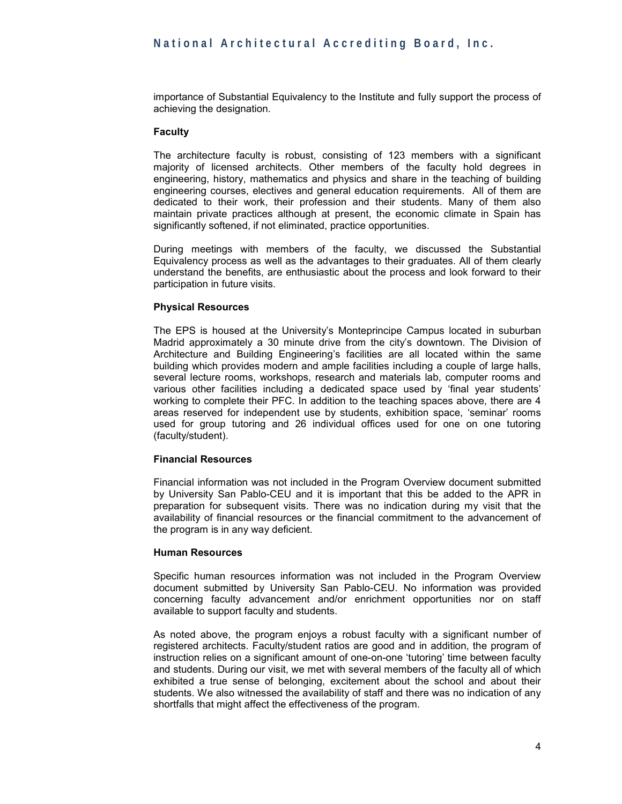importance of Substantial Equivalency to the Institute and fully support the process of achieving the designation.

#### **Faculty**

The architecture faculty is robust, consisting of 123 members with a significant majority of licensed architects. Other members of the faculty hold degrees in engineering, history, mathematics and physics and share in the teaching of building engineering courses, electives and general education requirements. All of them are dedicated to their work, their profession and their students. Many of them also maintain private practices although at present, the economic climate in Spain has significantly softened, if not eliminated, practice opportunities.

During meetings with members of the faculty, we discussed the Substantial Equivalency process as well as the advantages to their graduates. All of them clearly understand the benefits, are enthusiastic about the process and look forward to their participation in future visits.

#### **Physical Resources**

The EPS is housed at the University's Monteprincipe Campus located in suburban Madrid approximately a 30 minute drive from the city's downtown. The Division of Architecture and Building Engineering's facilities are all located within the same building which provides modern and ample facilities including a couple of large halls, several lecture rooms, workshops, research and materials lab, computer rooms and various other facilities including a dedicated space used by 'final year students' working to complete their PFC. In addition to the teaching spaces above, there are 4 areas reserved for independent use by students, exhibition space, 'seminar' rooms used for group tutoring and 26 individual offices used for one on one tutoring (faculty/student).

#### **Financial Resources**

Financial information was not included in the Program Overview document submitted by University San Pablo-CEU and it is important that this be added to the APR in preparation for subsequent visits. There was no indication during my visit that the availability of financial resources or the financial commitment to the advancement of the program is in any way deficient.

#### **Human Resources**

Specific human resources information was not included in the Program Overview document submitted by University San Pablo-CEU. No information was provided concerning faculty advancement and/or enrichment opportunities nor on staff available to support faculty and students.

As noted above, the program enjoys a robust faculty with a significant number of registered architects. Faculty/student ratios are good and in addition, the program of instruction relies on a significant amount of one-on-one 'tutoring' time between faculty and students. During our visit, we met with several members of the faculty all of which exhibited a true sense of belonging, excitement about the school and about their students. We also witnessed the availability of staff and there was no indication of any shortfalls that might affect the effectiveness of the program.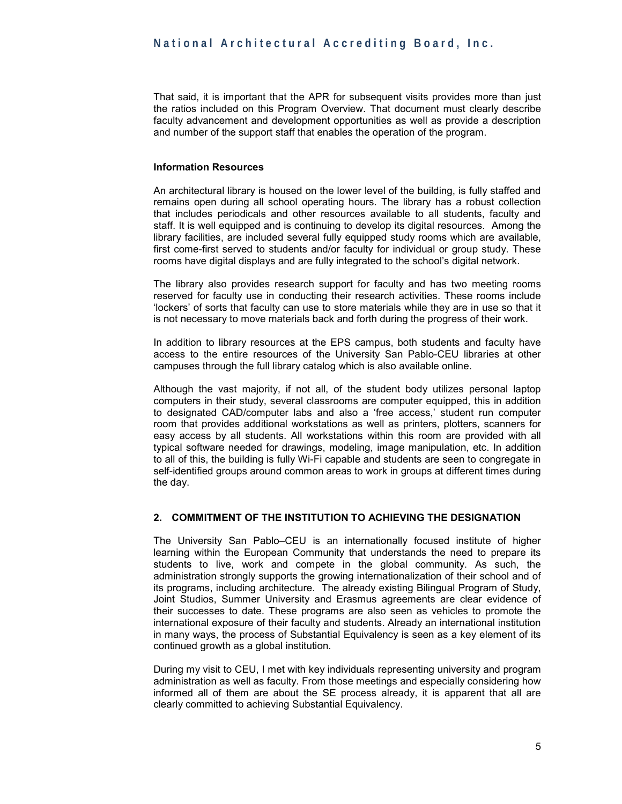That said, it is important that the APR for subsequent visits provides more than just the ratios included on this Program Overview. That document must clearly describe faculty advancement and development opportunities as well as provide a description and number of the support staff that enables the operation of the program.

#### **Information Resources**

An architectural library is housed on the lower level of the building, is fully staffed and remains open during all school operating hours. The library has a robust collection that includes periodicals and other resources available to all students, faculty and staff. It is well equipped and is continuing to develop its digital resources. Among the library facilities, are included several fully equipped study rooms which are available, first come-first served to students and/or faculty for individual or group study. These rooms have digital displays and are fully integrated to the school's digital network.

The library also provides research support for faculty and has two meeting rooms reserved for faculty use in conducting their research activities. These rooms include 'lockers' of sorts that faculty can use to store materials while they are in use so that it is not necessary to move materials back and forth during the progress of their work.

In addition to library resources at the EPS campus, both students and faculty have access to the entire resources of the University San Pablo-CEU libraries at other campuses through the full library catalog which is also available online.

Although the vast majority, if not all, of the student body utilizes personal laptop computers in their study, several classrooms are computer equipped, this in addition to designated CAD/computer labs and also a 'free access,' student run computer room that provides additional workstations as well as printers, plotters, scanners for easy access by all students. All workstations within this room are provided with all typical software needed for drawings, modeling, image manipulation, etc. In addition to all of this, the building is fully Wi-Fi capable and students are seen to congregate in self-identified groups around common areas to work in groups at different times during the day.

#### **2. COMMITMENT OF THE INSTITUTION TO ACHIEVING THE DESIGNATION**

The University San Pablo–CEU is an internationally focused institute of higher learning within the European Community that understands the need to prepare its students to live, work and compete in the global community. As such, the administration strongly supports the growing internationalization of their school and of its programs, including architecture. The already existing Bilingual Program of Study, Joint Studios, Summer University and Erasmus agreements are clear evidence of their successes to date. These programs are also seen as vehicles to promote the international exposure of their faculty and students. Already an international institution in many ways, the process of Substantial Equivalency is seen as a key element of its continued growth as a global institution.

During my visit to CEU, I met with key individuals representing university and program administration as well as faculty. From those meetings and especially considering how informed all of them are about the SE process already, it is apparent that all are clearly committed to achieving Substantial Equivalency.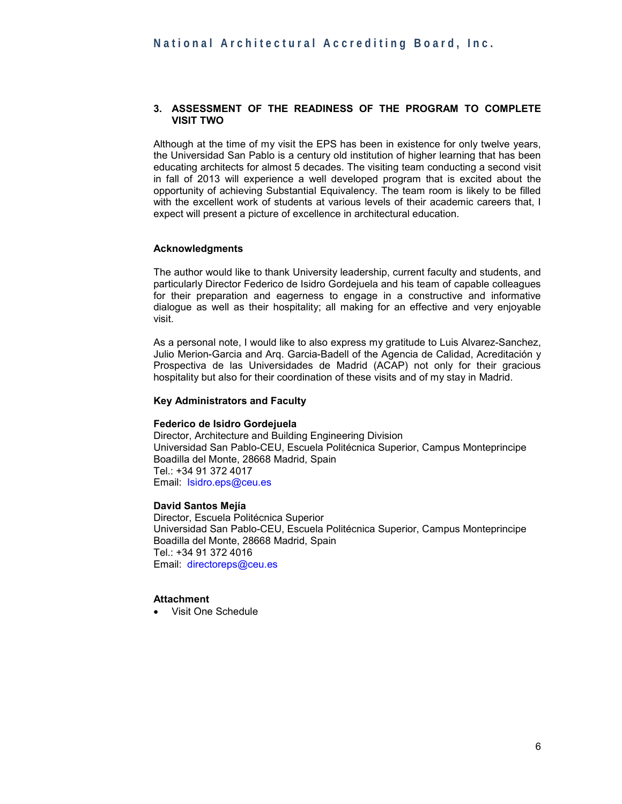#### **3. ASSESSMENT OF THE READINESS OF THE PROGRAM TO COMPLETE VISIT TWO**

Although at the time of my visit the EPS has been in existence for only twelve years, the Universidad San Pablo is a century old institution of higher learning that has been educating architects for almost 5 decades. The visiting team conducting a second visit in fall of 2013 will experience a well developed program that is excited about the opportunity of achieving Substantial Equivalency. The team room is likely to be filled with the excellent work of students at various levels of their academic careers that, I expect will present a picture of excellence in architectural education.

#### **Acknowledgments**

The author would like to thank University leadership, current faculty and students, and particularly Director Federico de Isidro Gordejuela and his team of capable colleagues for their preparation and eagerness to engage in a constructive and informative dialogue as well as their hospitality; all making for an effective and very enjoyable visit.

As a personal note, I would like to also express my gratitude to Luis Alvarez-Sanchez, Julio Merion-Garcia and Arq. Garcia-Badell of the Agencia de Calidad, Acreditación y Prospectiva de las Universidades de Madrid (ACAP) not only for their gracious hospitality but also for their coordination of these visits and of my stay in Madrid.

#### **Key Administrators and Faculty**

#### **Federico de Isidro Gordejuela**

Director, Architecture and Building Engineering Division Universidad San Pablo-CEU, Escuela Politécnica Superior, Campus Monteprincipe Boadilla del Monte, 28668 Madrid, Spain Tel.: +34 91 372 4017 Email: Isidro.eps@ceu.es

#### **David Santos Mejía**

Director, Escuela Politécnica Superior Universidad San Pablo-CEU, Escuela Politécnica Superior, Campus Monteprincipe Boadilla del Monte, 28668 Madrid, Spain Tel.: +34 91 372 4016 Email: directoreps@ceu.es

#### **Attachment**

• Visit One Schedule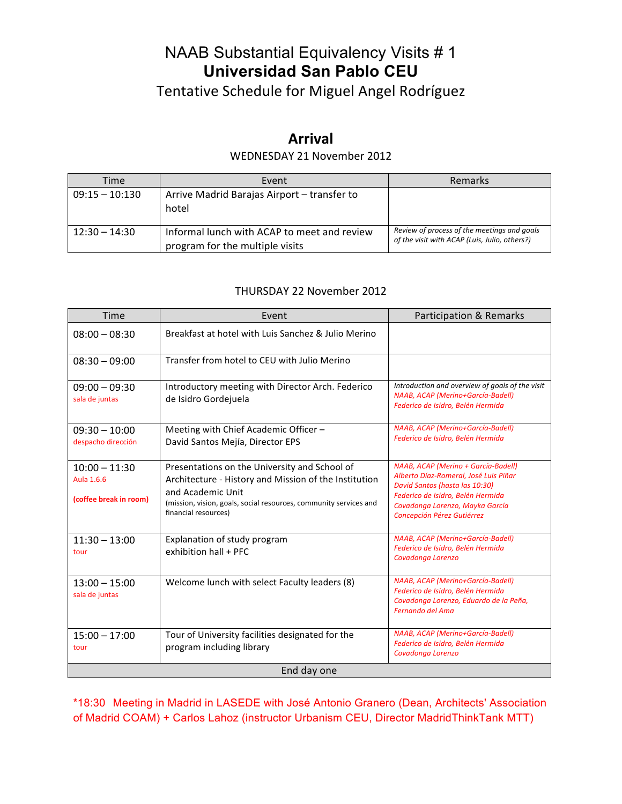# NAAB Substantial Equivalency Visits # 1 **Universidad San Pablo CEU**

Tentative Schedule for Miguel Angel Rodríguez

## **Arrival**

## WEDNESDAY 21 November 2012

| Time             | Event                                                                          | Remarks                                                                                      |
|------------------|--------------------------------------------------------------------------------|----------------------------------------------------------------------------------------------|
| $09:15 - 10:130$ | Arrive Madrid Barajas Airport - transfer to<br>hotel                           |                                                                                              |
| $12:30 - 14:30$  | Informal lunch with ACAP to meet and review<br>program for the multiple visits | Review of process of the meetings and goals<br>of the visit with ACAP (Luis, Julio, others?) |

### THURSDAY 22 November 2012

| Time                                                    | Event                                                                                                                                                                                                                    | Participation & Remarks                                                                                                                                                                                              |  |
|---------------------------------------------------------|--------------------------------------------------------------------------------------------------------------------------------------------------------------------------------------------------------------------------|----------------------------------------------------------------------------------------------------------------------------------------------------------------------------------------------------------------------|--|
| $08:00 - 08:30$                                         | Breakfast at hotel with Luis Sanchez & Julio Merino                                                                                                                                                                      |                                                                                                                                                                                                                      |  |
| $08:30 - 09:00$                                         | Transfer from hotel to CEU with Julio Merino                                                                                                                                                                             |                                                                                                                                                                                                                      |  |
| $09:00 - 09:30$<br>sala de juntas                       | Introductory meeting with Director Arch. Federico<br>de Isidro Gordejuela                                                                                                                                                | Introduction and overview of goals of the visit<br>NAAB, ACAP (Merino+García-Badell)<br>Federico de Isidro, Belén Hermida                                                                                            |  |
| $09:30 - 10:00$<br>despacho dirección                   | Meeting with Chief Academic Officer -<br>David Santos Mejía, Director EPS                                                                                                                                                | NAAB, ACAP (Merino+García-Badell)<br>Federico de Isidro, Belén Hermida                                                                                                                                               |  |
| $10:00 - 11:30$<br>Aula 1.6.6<br>(coffee break in room) | Presentations on the University and School of<br>Architecture - History and Mission of the Institution<br>and Academic Unit<br>(mission, vision, goals, social resources, community services and<br>financial resources) | NAAB, ACAP (Merino + García-Badell)<br>Alberto Díaz-Romeral, José Luis Piñar<br>David Santos (hasta las 10:30)<br>Federico de Isidro, Belén Hermida<br>Covadonga Lorenzo, Mayka García<br>Concepción Pérez Gutiérrez |  |
| $11:30 - 13:00$<br>tour                                 | Explanation of study program<br>exhibition hall + PFC                                                                                                                                                                    | NAAB, ACAP (Merino+García-Badell)<br>Federico de Isidro, Belén Hermida<br>Covadonga Lorenzo                                                                                                                          |  |
| $13:00 - 15:00$<br>sala de juntas                       | Welcome lunch with select Faculty leaders (8)                                                                                                                                                                            | NAAB, ACAP (Merino+García-Badell)<br>Federico de Isidro, Belén Hermida<br>Covadonga Lorenzo, Eduardo de la Peña,<br>Fernando del Ama                                                                                 |  |
| $15:00 - 17:00$<br>tour                                 | Tour of University facilities designated for the<br>program including library                                                                                                                                            | NAAB, ACAP (Merino+García-Badell)<br>Federico de Isidro, Belén Hermida<br>Covadonga Lorenzo                                                                                                                          |  |
| End day one                                             |                                                                                                                                                                                                                          |                                                                                                                                                                                                                      |  |

\*18:30 Meeting in Madrid in LASEDE with José Antonio Granero (Dean, Architects' Association of Madrid COAM) + Carlos Lahoz (instructor Urbanism CEU, Director MadridThinkTank MTT)